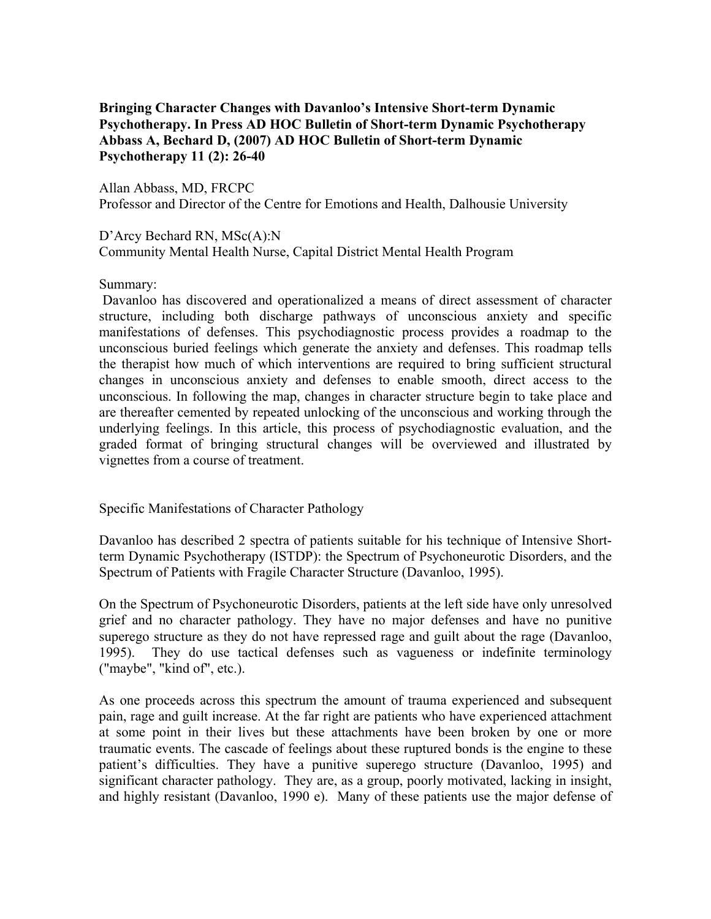# **Bringing Character Changes with Davanloo's Intensive Short-term Dynamic Psychotherapy. In Press AD HOC Bulletin of Short-term Dynamic Psychotherapy Abbass A, Bechard D, (2007) AD HOC Bulletin of Short-term Dynamic Psychotherapy 11 (2): 26-40**

Allan Abbass, MD, FRCPC Professor and Director of the Centre for Emotions and Health, Dalhousie University

D'Arcy Bechard RN, MSc(A):N Community Mental Health Nurse, Capital District Mental Health Program

Summary:

 Davanloo has discovered and operationalized a means of direct assessment of character structure, including both discharge pathways of unconscious anxiety and specific manifestations of defenses. This psychodiagnostic process provides a roadmap to the unconscious buried feelings which generate the anxiety and defenses. This roadmap tells the therapist how much of which interventions are required to bring sufficient structural changes in unconscious anxiety and defenses to enable smooth, direct access to the unconscious. In following the map, changes in character structure begin to take place and are thereafter cemented by repeated unlocking of the unconscious and working through the underlying feelings. In this article, this process of psychodiagnostic evaluation, and the graded format of bringing structural changes will be overviewed and illustrated by vignettes from a course of treatment.

Specific Manifestations of Character Pathology

Davanloo has described 2 spectra of patients suitable for his technique of Intensive Shortterm Dynamic Psychotherapy (ISTDP): the Spectrum of Psychoneurotic Disorders, and the Spectrum of Patients with Fragile Character Structure (Davanloo, 1995).

On the Spectrum of Psychoneurotic Disorders, patients at the left side have only unresolved grief and no character pathology. They have no major defenses and have no punitive superego structure as they do not have repressed rage and guilt about the rage (Davanloo, 1995). They do use tactical defenses such as vagueness or indefinite terminology ("maybe", "kind of", etc.).

As one proceeds across this spectrum the amount of trauma experienced and subsequent pain, rage and guilt increase. At the far right are patients who have experienced attachment at some point in their lives but these attachments have been broken by one or more traumatic events. The cascade of feelings about these ruptured bonds is the engine to these patient's difficulties. They have a punitive superego structure (Davanloo, 1995) and significant character pathology. They are, as a group, poorly motivated, lacking in insight, and highly resistant (Davanloo, 1990 e). Many of these patients use the major defense of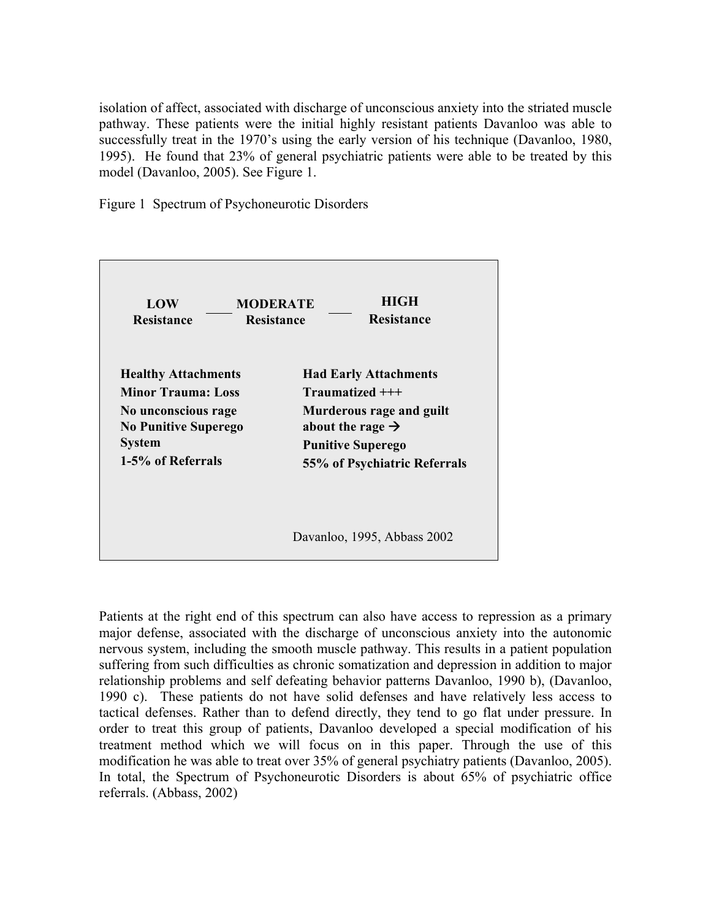isolation of affect, associated with discharge of unconscious anxiety into the striated muscle pathway. These patients were the initial highly resistant patients Davanloo was able to successfully treat in the 1970's using the early version of his technique (Davanloo, 1980, 1995). He found that 23% of general psychiatric patients were able to be treated by this model (Davanloo, 2005). See Figure 1.

Figure 1 Spectrum of Psychoneurotic Disorders



Patients at the right end of this spectrum can also have access to repression as a primary major defense, associated with the discharge of unconscious anxiety into the autonomic nervous system, including the smooth muscle pathway. This results in a patient population suffering from such difficulties as chronic somatization and depression in addition to major relationship problems and self defeating behavior patterns Davanloo, 1990 b), (Davanloo, 1990 c). These patients do not have solid defenses and have relatively less access to tactical defenses. Rather than to defend directly, they tend to go flat under pressure. In order to treat this group of patients, Davanloo developed a special modification of his treatment method which we will focus on in this paper. Through the use of this modification he was able to treat over 35% of general psychiatry patients (Davanloo, 2005). In total, the Spectrum of Psychoneurotic Disorders is about 65% of psychiatric office referrals. (Abbass, 2002)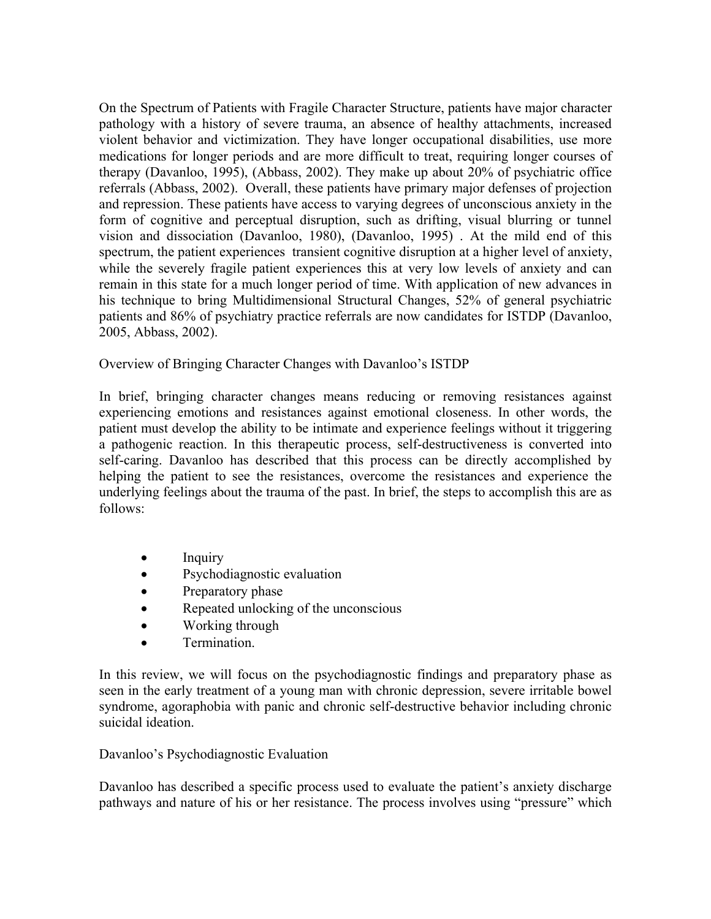On the Spectrum of Patients with Fragile Character Structure, patients have major character pathology with a history of severe trauma, an absence of healthy attachments, increased violent behavior and victimization. They have longer occupational disabilities, use more medications for longer periods and are more difficult to treat, requiring longer courses of therapy (Davanloo, 1995), (Abbass, 2002). They make up about 20% of psychiatric office referrals (Abbass, 2002). Overall, these patients have primary major defenses of projection and repression. These patients have access to varying degrees of unconscious anxiety in the form of cognitive and perceptual disruption, such as drifting, visual blurring or tunnel vision and dissociation (Davanloo, 1980), (Davanloo, 1995) . At the mild end of this spectrum, the patient experiences transient cognitive disruption at a higher level of anxiety, while the severely fragile patient experiences this at very low levels of anxiety and can remain in this state for a much longer period of time. With application of new advances in his technique to bring Multidimensional Structural Changes, 52% of general psychiatric patients and 86% of psychiatry practice referrals are now candidates for ISTDP (Davanloo, 2005, Abbass, 2002).

Overview of Bringing Character Changes with Davanloo's ISTDP

In brief, bringing character changes means reducing or removing resistances against experiencing emotions and resistances against emotional closeness. In other words, the patient must develop the ability to be intimate and experience feelings without it triggering a pathogenic reaction. In this therapeutic process, self-destructiveness is converted into self-caring. Davanloo has described that this process can be directly accomplished by helping the patient to see the resistances, overcome the resistances and experience the underlying feelings about the trauma of the past. In brief, the steps to accomplish this are as follows:

- Inquiry
- Psychodiagnostic evaluation
- Preparatory phase
- Repeated unlocking of the unconscious
- Working through
- Termination.

In this review, we will focus on the psychodiagnostic findings and preparatory phase as seen in the early treatment of a young man with chronic depression, severe irritable bowel syndrome, agoraphobia with panic and chronic self-destructive behavior including chronic suicidal ideation.

# Davanloo's Psychodiagnostic Evaluation

Davanloo has described a specific process used to evaluate the patient's anxiety discharge pathways and nature of his or her resistance. The process involves using "pressure" which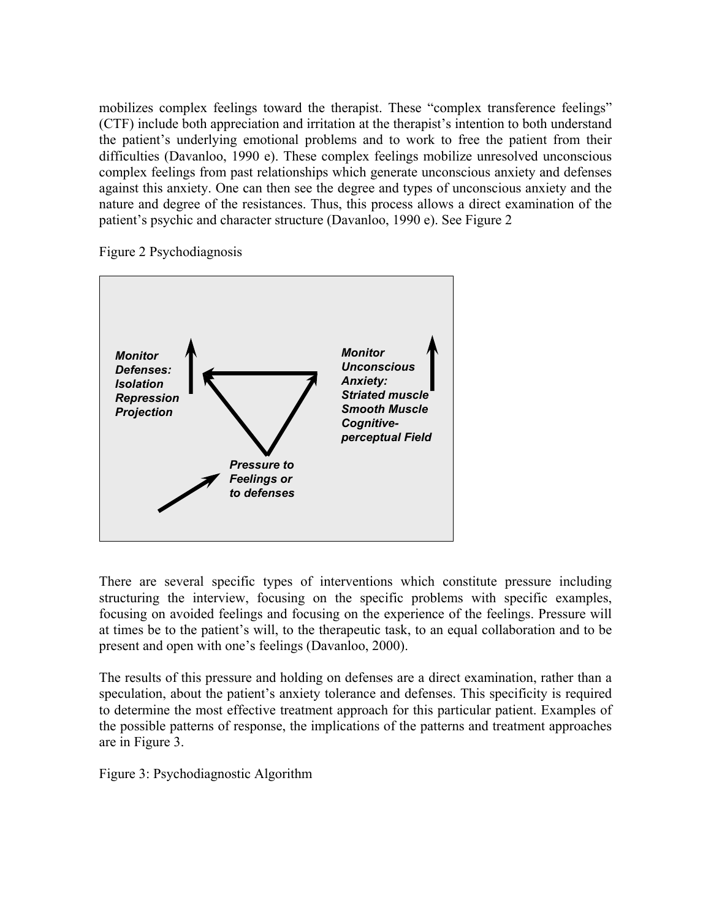mobilizes complex feelings toward the therapist. These "complex transference feelings" (CTF) include both appreciation and irritation at the therapist's intention to both understand the patient's underlying emotional problems and to work to free the patient from their difficulties (Davanloo, 1990 e). These complex feelings mobilize unresolved unconscious complex feelings from past relationships which generate unconscious anxiety and defenses against this anxiety. One can then see the degree and types of unconscious anxiety and the nature and degree of the resistances. Thus, this process allows a direct examination of the patient's psychic and character structure (Davanloo, 1990 e). See Figure 2

Figure 2 Psychodiagnosis



There are several specific types of interventions which constitute pressure including structuring the interview, focusing on the specific problems with specific examples, focusing on avoided feelings and focusing on the experience of the feelings. Pressure will at times be to the patient's will, to the therapeutic task, to an equal collaboration and to be present and open with one's feelings (Davanloo, 2000).

The results of this pressure and holding on defenses are a direct examination, rather than a speculation, about the patient's anxiety tolerance and defenses. This specificity is required to determine the most effective treatment approach for this particular patient. Examples of the possible patterns of response, the implications of the patterns and treatment approaches are in Figure 3.

Figure 3: Psychodiagnostic Algorithm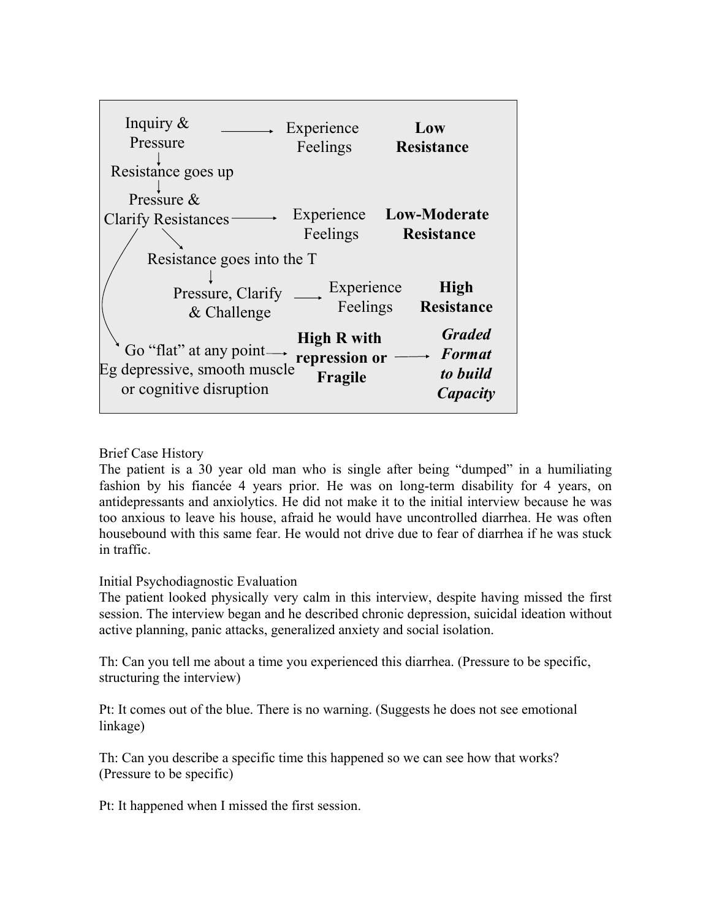| Inquiry $\&$<br>Pressure                                                                            | Experience<br>Feelings                         | Low<br><b>Resistance</b>                                      |
|-----------------------------------------------------------------------------------------------------|------------------------------------------------|---------------------------------------------------------------|
| Resistance goes up                                                                                  |                                                |                                                               |
| Pressure &<br><b>Clarify Resistances</b><br>Resistance goes into the T                              | Experience<br>Feelings                         | <b>Low-Moderate</b><br><b>Resistance</b>                      |
| Pressure, Clarify<br>$&$ Challenge                                                                  | Experience<br>Feelings                         | High<br><b>Resistance</b>                                     |
| Go "flat" at any point $\longrightarrow$<br>Eg depressive, smooth muscle<br>or cognitive disruption | <b>High R with</b><br>repression or<br>Fragile | <b>Graded</b><br>$\rightarrow$ Format<br>to build<br>Capacity |

# Brief Case History

The patient is a 30 year old man who is single after being "dumped" in a humiliating fashion by his fiancée 4 years prior. He was on long-term disability for 4 years, on antidepressants and anxiolytics. He did not make it to the initial interview because he was too anxious to leave his house, afraid he would have uncontrolled diarrhea. He was often housebound with this same fear. He would not drive due to fear of diarrhea if he was stuck in traffic.

# Initial Psychodiagnostic Evaluation

The patient looked physically very calm in this interview, despite having missed the first session. The interview began and he described chronic depression, suicidal ideation without active planning, panic attacks, generalized anxiety and social isolation.

Th: Can you tell me about a time you experienced this diarrhea. (Pressure to be specific, structuring the interview)

Pt: It comes out of the blue. There is no warning. (Suggests he does not see emotional linkage)

Th: Can you describe a specific time this happened so we can see how that works? (Pressure to be specific)

Pt: It happened when I missed the first session.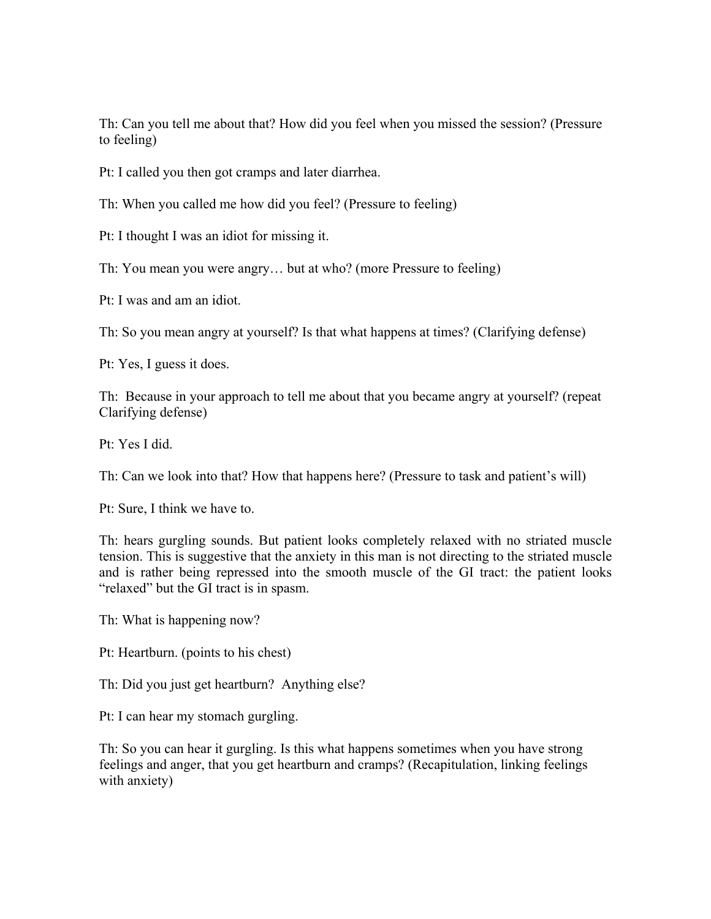Th: Can you tell me about that? How did you feel when you missed the session? (Pressure to feeling)

Pt: I called you then got cramps and later diarrhea.

Th: When you called me how did you feel? (Pressure to feeling)

Pt: I thought I was an idiot for missing it.

Th: You mean you were angry… but at who? (more Pressure to feeling)

Pt: I was and am an idiot.

Th: So you mean angry at yourself? Is that what happens at times? (Clarifying defense)

Pt: Yes, I guess it does.

Th: Because in your approach to tell me about that you became angry at yourself? (repeat Clarifying defense)

Pt: Yes I did.

Th: Can we look into that? How that happens here? (Pressure to task and patient's will)

Pt: Sure, I think we have to.

Th: hears gurgling sounds. But patient looks completely relaxed with no striated muscle tension. This is suggestive that the anxiety in this man is not directing to the striated muscle and is rather being repressed into the smooth muscle of the GI tract: the patient looks "relaxed" but the GI tract is in spasm.

Th: What is happening now?

Pt: Heartburn. (points to his chest)

Th: Did you just get heartburn? Anything else?

Pt: I can hear my stomach gurgling.

Th: So you can hear it gurgling. Is this what happens sometimes when you have strong feelings and anger, that you get heartburn and cramps? (Recapitulation, linking feelings with anxiety)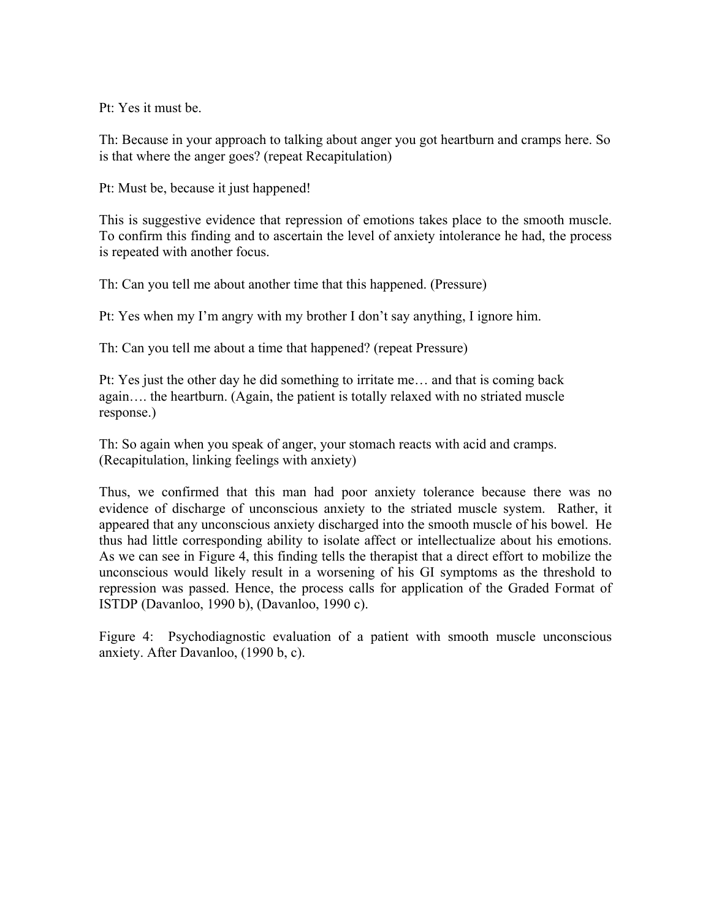Pt: Yes it must be.

Th: Because in your approach to talking about anger you got heartburn and cramps here. So is that where the anger goes? (repeat Recapitulation)

Pt: Must be, because it just happened!

This is suggestive evidence that repression of emotions takes place to the smooth muscle. To confirm this finding and to ascertain the level of anxiety intolerance he had, the process is repeated with another focus.

Th: Can you tell me about another time that this happened. (Pressure)

Pt: Yes when my I'm angry with my brother I don't say anything, I ignore him.

Th: Can you tell me about a time that happened? (repeat Pressure)

Pt: Yes just the other day he did something to irritate me… and that is coming back again…. the heartburn. (Again, the patient is totally relaxed with no striated muscle response.)

Th: So again when you speak of anger, your stomach reacts with acid and cramps. (Recapitulation, linking feelings with anxiety)

Thus, we confirmed that this man had poor anxiety tolerance because there was no evidence of discharge of unconscious anxiety to the striated muscle system. Rather, it appeared that any unconscious anxiety discharged into the smooth muscle of his bowel. He thus had little corresponding ability to isolate affect or intellectualize about his emotions. As we can see in Figure 4, this finding tells the therapist that a direct effort to mobilize the unconscious would likely result in a worsening of his GI symptoms as the threshold to repression was passed. Hence, the process calls for application of the Graded Format of ISTDP (Davanloo, 1990 b), (Davanloo, 1990 c).

Figure 4: Psychodiagnostic evaluation of a patient with smooth muscle unconscious anxiety. After Davanloo, (1990 b, c).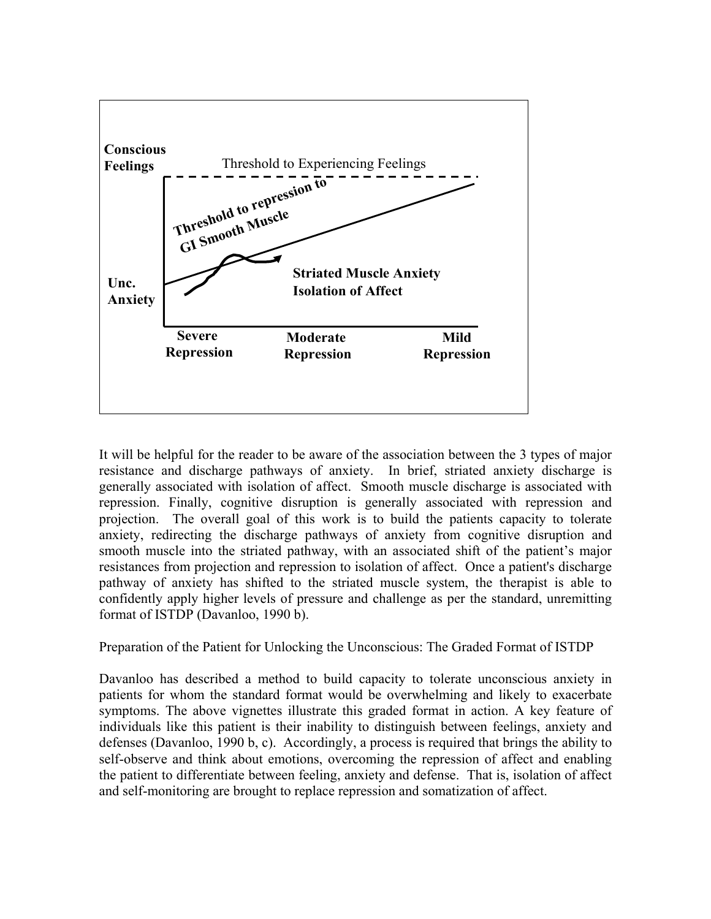

It will be helpful for the reader to be aware of the association between the 3 types of major resistance and discharge pathways of anxiety. In brief, striated anxiety discharge is generally associated with isolation of affect. Smooth muscle discharge is associated with repression. Finally, cognitive disruption is generally associated with repression and projection. The overall goal of this work is to build the patients capacity to tolerate anxiety, redirecting the discharge pathways of anxiety from cognitive disruption and smooth muscle into the striated pathway, with an associated shift of the patient's major resistances from projection and repression to isolation of affect. Once a patient's discharge pathway of anxiety has shifted to the striated muscle system, the therapist is able to confidently apply higher levels of pressure and challenge as per the standard, unremitting format of ISTDP (Davanloo, 1990 b).

Preparation of the Patient for Unlocking the Unconscious: The Graded Format of ISTDP

Davanloo has described a method to build capacity to tolerate unconscious anxiety in patients for whom the standard format would be overwhelming and likely to exacerbate symptoms. The above vignettes illustrate this graded format in action. A key feature of individuals like this patient is their inability to distinguish between feelings, anxiety and defenses (Davanloo, 1990 b, c). Accordingly, a process is required that brings the ability to self-observe and think about emotions, overcoming the repression of affect and enabling the patient to differentiate between feeling, anxiety and defense. That is, isolation of affect and self-monitoring are brought to replace repression and somatization of affect.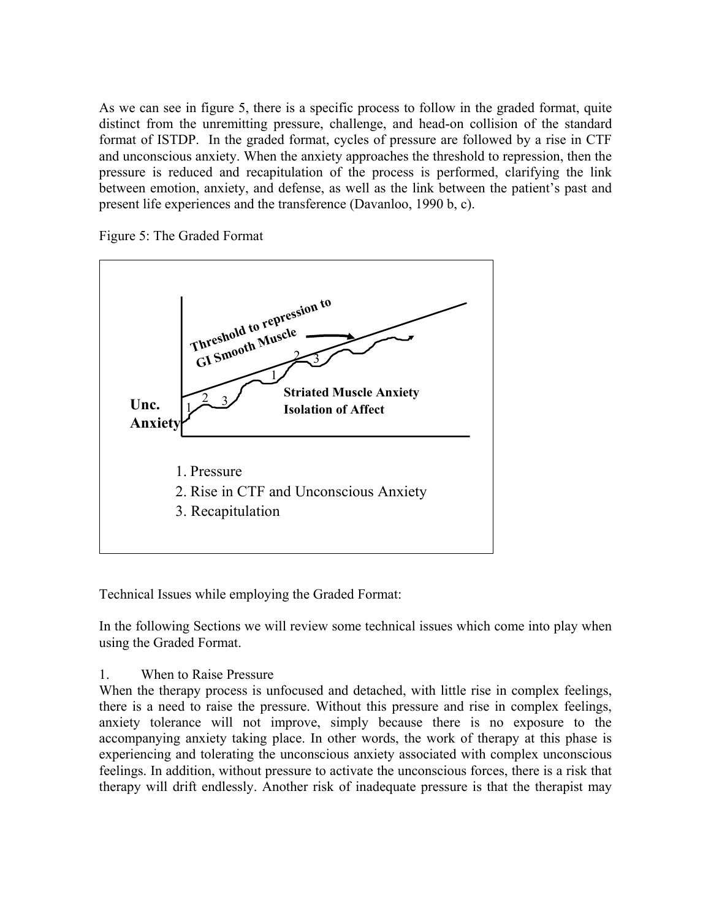As we can see in figure 5, there is a specific process to follow in the graded format, quite distinct from the unremitting pressure, challenge, and head-on collision of the standard format of ISTDP. In the graded format, cycles of pressure are followed by a rise in CTF and unconscious anxiety. When the anxiety approaches the threshold to repression, then the pressure is reduced and recapitulation of the process is performed, clarifying the link between emotion, anxiety, and defense, as well as the link between the patient's past and present life experiences and the transference (Davanloo, 1990 b, c).

Figure 5: The Graded Format



Technical Issues while employing the Graded Format:

In the following Sections we will review some technical issues which come into play when using the Graded Format.

# 1. When to Raise Pressure

When the therapy process is unfocused and detached, with little rise in complex feelings, there is a need to raise the pressure. Without this pressure and rise in complex feelings, anxiety tolerance will not improve, simply because there is no exposure to the accompanying anxiety taking place. In other words, the work of therapy at this phase is experiencing and tolerating the unconscious anxiety associated with complex unconscious feelings. In addition, without pressure to activate the unconscious forces, there is a risk that therapy will drift endlessly. Another risk of inadequate pressure is that the therapist may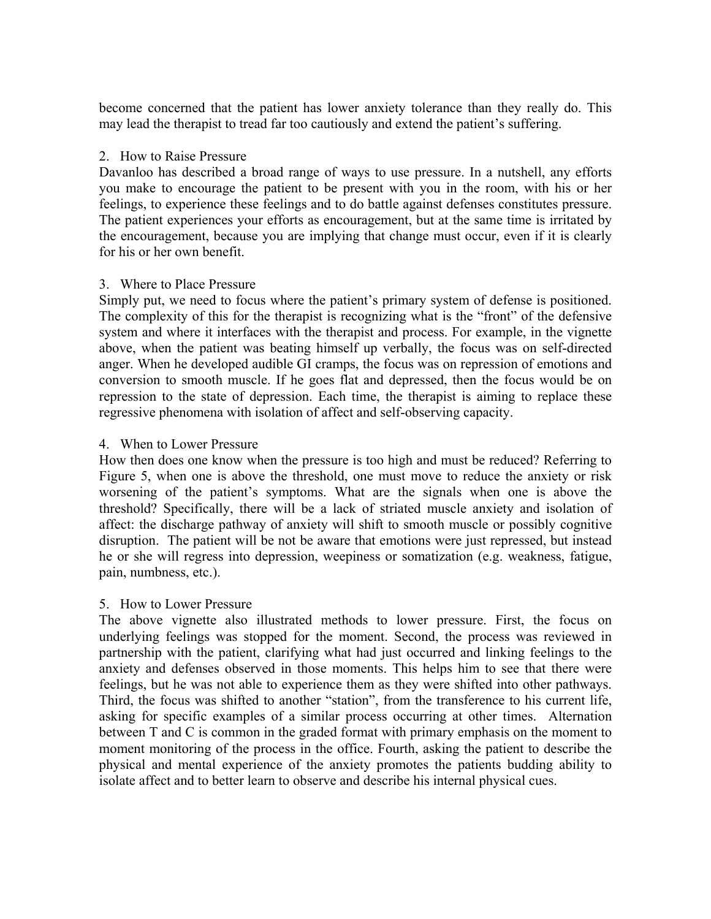become concerned that the patient has lower anxiety tolerance than they really do. This may lead the therapist to tread far too cautiously and extend the patient's suffering.

### 2. How to Raise Pressure

Davanloo has described a broad range of ways to use pressure. In a nutshell, any efforts you make to encourage the patient to be present with you in the room, with his or her feelings, to experience these feelings and to do battle against defenses constitutes pressure. The patient experiences your efforts as encouragement, but at the same time is irritated by the encouragement, because you are implying that change must occur, even if it is clearly for his or her own benefit.

### 3. Where to Place Pressure

Simply put, we need to focus where the patient's primary system of defense is positioned. The complexity of this for the therapist is recognizing what is the "front" of the defensive system and where it interfaces with the therapist and process. For example, in the vignette above, when the patient was beating himself up verbally, the focus was on self-directed anger. When he developed audible GI cramps, the focus was on repression of emotions and conversion to smooth muscle. If he goes flat and depressed, then the focus would be on repression to the state of depression. Each time, the therapist is aiming to replace these regressive phenomena with isolation of affect and self-observing capacity.

### 4. When to Lower Pressure

How then does one know when the pressure is too high and must be reduced? Referring to Figure 5, when one is above the threshold, one must move to reduce the anxiety or risk worsening of the patient's symptoms. What are the signals when one is above the threshold? Specifically, there will be a lack of striated muscle anxiety and isolation of affect: the discharge pathway of anxiety will shift to smooth muscle or possibly cognitive disruption. The patient will be not be aware that emotions were just repressed, but instead he or she will regress into depression, weepiness or somatization (e.g. weakness, fatigue, pain, numbness, etc.).

# 5. How to Lower Pressure

The above vignette also illustrated methods to lower pressure. First, the focus on underlying feelings was stopped for the moment. Second, the process was reviewed in partnership with the patient, clarifying what had just occurred and linking feelings to the anxiety and defenses observed in those moments. This helps him to see that there were feelings, but he was not able to experience them as they were shifted into other pathways. Third, the focus was shifted to another "station", from the transference to his current life, asking for specific examples of a similar process occurring at other times. Alternation between T and C is common in the graded format with primary emphasis on the moment to moment monitoring of the process in the office. Fourth, asking the patient to describe the physical and mental experience of the anxiety promotes the patients budding ability to isolate affect and to better learn to observe and describe his internal physical cues.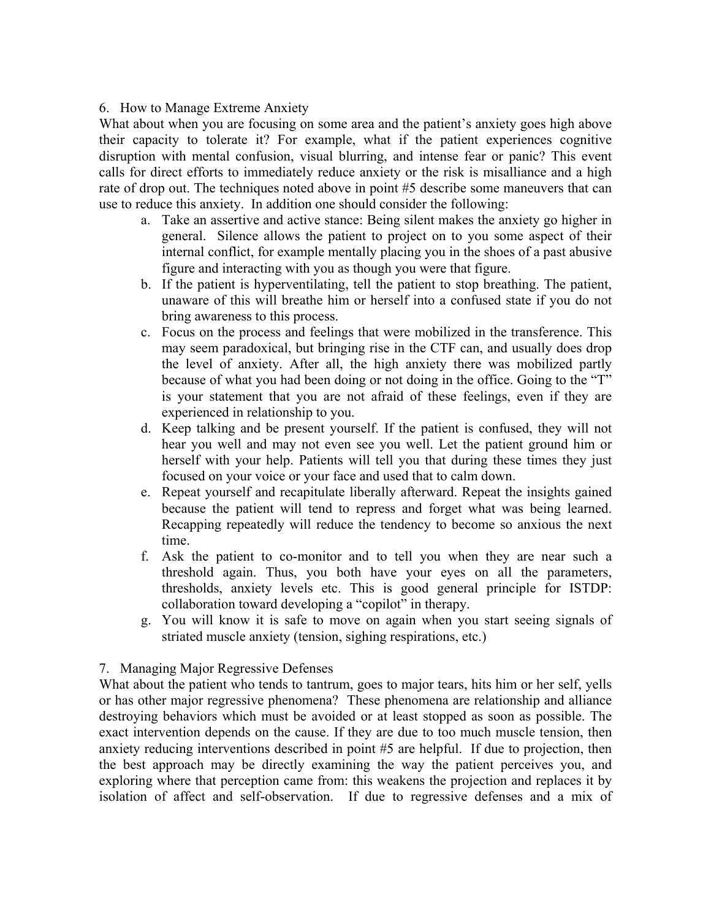#### 6. How to Manage Extreme Anxiety

What about when you are focusing on some area and the patient's anxiety goes high above their capacity to tolerate it? For example, what if the patient experiences cognitive disruption with mental confusion, visual blurring, and intense fear or panic? This event calls for direct efforts to immediately reduce anxiety or the risk is misalliance and a high rate of drop out. The techniques noted above in point #5 describe some maneuvers that can use to reduce this anxiety. In addition one should consider the following:

- a. Take an assertive and active stance: Being silent makes the anxiety go higher in general. Silence allows the patient to project on to you some aspect of their internal conflict, for example mentally placing you in the shoes of a past abusive figure and interacting with you as though you were that figure.
- b. If the patient is hyperventilating, tell the patient to stop breathing. The patient, unaware of this will breathe him or herself into a confused state if you do not bring awareness to this process.
- c. Focus on the process and feelings that were mobilized in the transference. This may seem paradoxical, but bringing rise in the CTF can, and usually does drop the level of anxiety. After all, the high anxiety there was mobilized partly because of what you had been doing or not doing in the office. Going to the "T" is your statement that you are not afraid of these feelings, even if they are experienced in relationship to you.
- d. Keep talking and be present yourself. If the patient is confused, they will not hear you well and may not even see you well. Let the patient ground him or herself with your help. Patients will tell you that during these times they just focused on your voice or your face and used that to calm down.
- e. Repeat yourself and recapitulate liberally afterward. Repeat the insights gained because the patient will tend to repress and forget what was being learned. Recapping repeatedly will reduce the tendency to become so anxious the next time.
- f. Ask the patient to co-monitor and to tell you when they are near such a threshold again. Thus, you both have your eyes on all the parameters, thresholds, anxiety levels etc. This is good general principle for ISTDP: collaboration toward developing a "copilot" in therapy.
- g. You will know it is safe to move on again when you start seeing signals of striated muscle anxiety (tension, sighing respirations, etc.)

#### 7. Managing Major Regressive Defenses

What about the patient who tends to tantrum, goes to major tears, hits him or her self, yells or has other major regressive phenomena? These phenomena are relationship and alliance destroying behaviors which must be avoided or at least stopped as soon as possible. The exact intervention depends on the cause. If they are due to too much muscle tension, then anxiety reducing interventions described in point #5 are helpful. If due to projection, then the best approach may be directly examining the way the patient perceives you, and exploring where that perception came from: this weakens the projection and replaces it by isolation of affect and self-observation. If due to regressive defenses and a mix of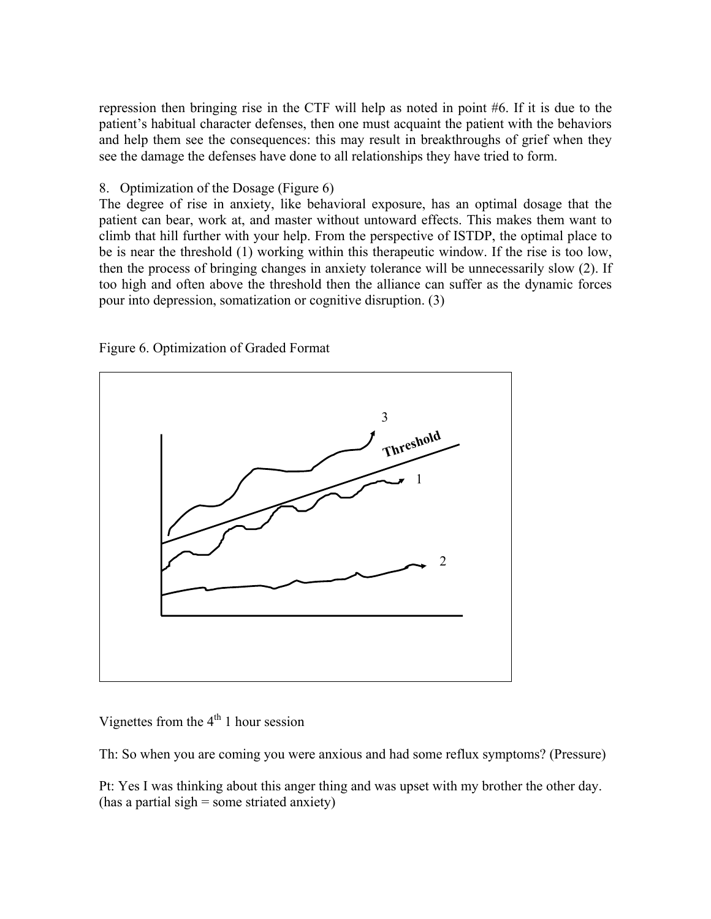repression then bringing rise in the CTF will help as noted in point #6. If it is due to the patient's habitual character defenses, then one must acquaint the patient with the behaviors and help them see the consequences: this may result in breakthroughs of grief when they see the damage the defenses have done to all relationships they have tried to form.

### 8. Optimization of the Dosage (Figure 6)

The degree of rise in anxiety, like behavioral exposure, has an optimal dosage that the patient can bear, work at, and master without untoward effects. This makes them want to climb that hill further with your help. From the perspective of ISTDP, the optimal place to be is near the threshold (1) working within this therapeutic window. If the rise is too low, then the process of bringing changes in anxiety tolerance will be unnecessarily slow (2). If too high and often above the threshold then the alliance can suffer as the dynamic forces pour into depression, somatization or cognitive disruption. (3)



Figure 6. Optimization of Graded Format

Vignettes from the  $4<sup>th</sup> 1$  hour session

Th: So when you are coming you were anxious and had some reflux symptoms? (Pressure)

Pt: Yes I was thinking about this anger thing and was upset with my brother the other day. (has a partial sigh  $=$  some striated anxiety)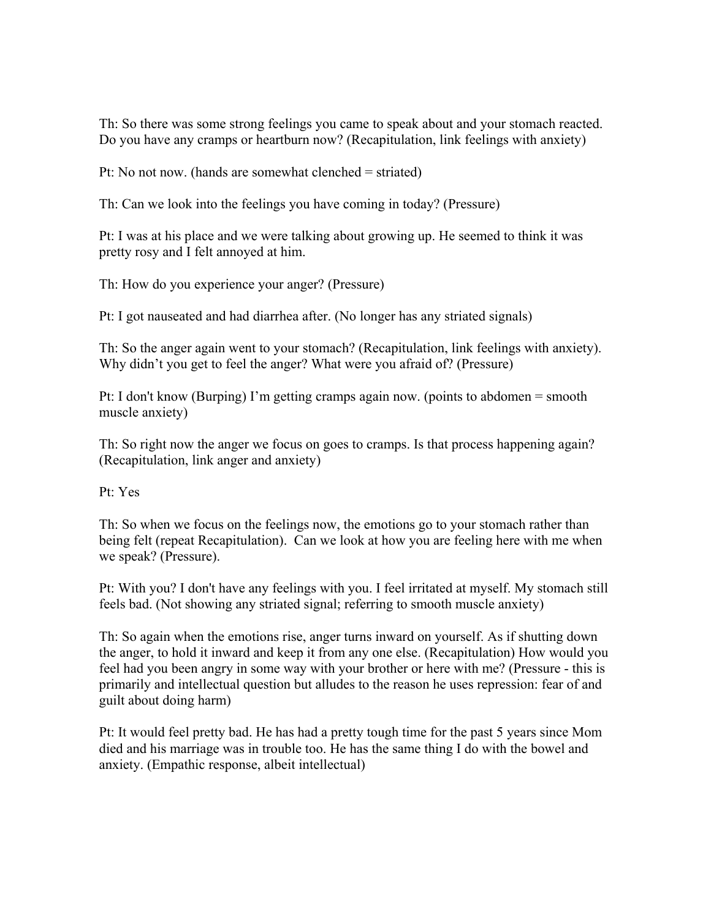Th: So there was some strong feelings you came to speak about and your stomach reacted. Do you have any cramps or heartburn now? (Recapitulation, link feelings with anxiety)

Pt: No not now. (hands are somewhat clenched = striated)

Th: Can we look into the feelings you have coming in today? (Pressure)

Pt: I was at his place and we were talking about growing up. He seemed to think it was pretty rosy and I felt annoyed at him.

Th: How do you experience your anger? (Pressure)

Pt: I got nauseated and had diarrhea after. (No longer has any striated signals)

Th: So the anger again went to your stomach? (Recapitulation, link feelings with anxiety). Why didn't you get to feel the anger? What were you afraid of? (Pressure)

Pt: I don't know (Burping) I'm getting cramps again now. (points to abdomen = smooth muscle anxiety)

Th: So right now the anger we focus on goes to cramps. Is that process happening again? (Recapitulation, link anger and anxiety)

Pt: Yes

Th: So when we focus on the feelings now, the emotions go to your stomach rather than being felt (repeat Recapitulation). Can we look at how you are feeling here with me when we speak? (Pressure).

Pt: With you? I don't have any feelings with you. I feel irritated at myself. My stomach still feels bad. (Not showing any striated signal; referring to smooth muscle anxiety)

Th: So again when the emotions rise, anger turns inward on yourself. As if shutting down the anger, to hold it inward and keep it from any one else. (Recapitulation) How would you feel had you been angry in some way with your brother or here with me? (Pressure - this is primarily and intellectual question but alludes to the reason he uses repression: fear of and guilt about doing harm)

Pt: It would feel pretty bad. He has had a pretty tough time for the past 5 years since Mom died and his marriage was in trouble too. He has the same thing I do with the bowel and anxiety. (Empathic response, albeit intellectual)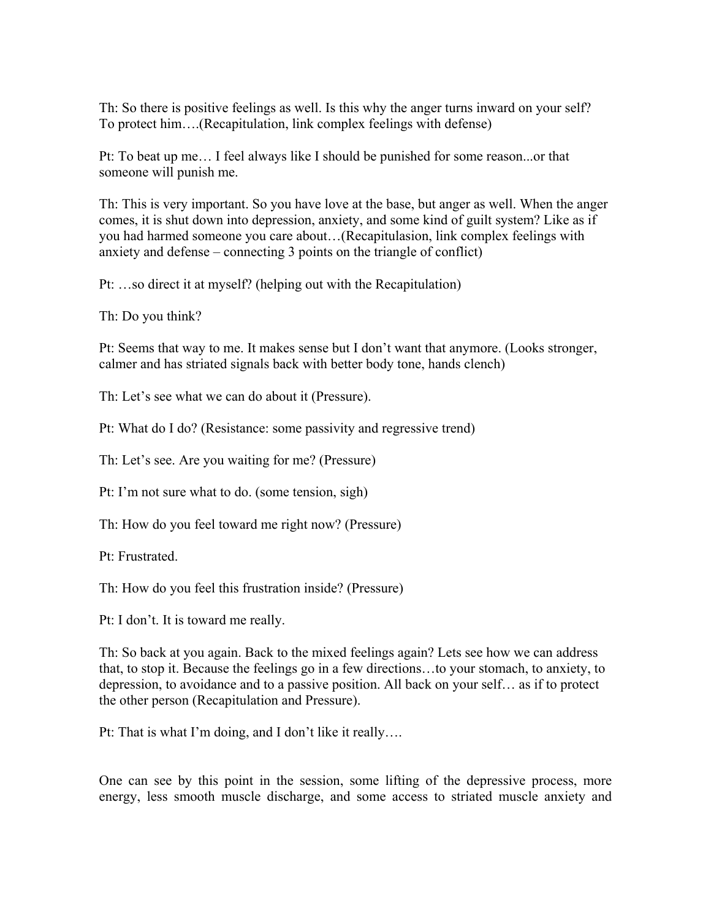Th: So there is positive feelings as well. Is this why the anger turns inward on your self? To protect him….(Recapitulation, link complex feelings with defense)

Pt: To beat up me… I feel always like I should be punished for some reason...or that someone will punish me.

Th: This is very important. So you have love at the base, but anger as well. When the anger comes, it is shut down into depression, anxiety, and some kind of guilt system? Like as if you had harmed someone you care about…(Recapitulasion, link complex feelings with anxiety and defense – connecting 3 points on the triangle of conflict)

Pt: …so direct it at myself? (helping out with the Recapitulation)

Th: Do you think?

Pt: Seems that way to me. It makes sense but I don't want that anymore. (Looks stronger, calmer and has striated signals back with better body tone, hands clench)

Th: Let's see what we can do about it (Pressure).

Pt: What do I do? (Resistance: some passivity and regressive trend)

Th: Let's see. Are you waiting for me? (Pressure)

Pt: I'm not sure what to do. (some tension, sigh)

Th: How do you feel toward me right now? (Pressure)

Pt: Frustrated.

Th: How do you feel this frustration inside? (Pressure)

Pt: I don't. It is toward me really.

Th: So back at you again. Back to the mixed feelings again? Lets see how we can address that, to stop it. Because the feelings go in a few directions…to your stomach, to anxiety, to depression, to avoidance and to a passive position. All back on your self… as if to protect the other person (Recapitulation and Pressure).

Pt: That is what I'm doing, and I don't like it really….

One can see by this point in the session, some lifting of the depressive process, more energy, less smooth muscle discharge, and some access to striated muscle anxiety and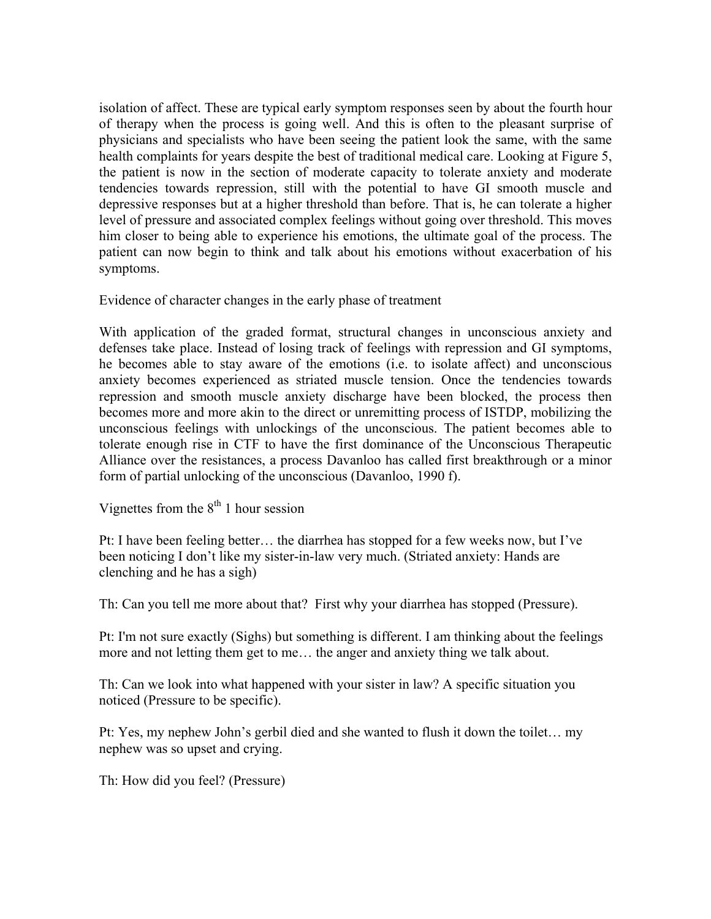isolation of affect. These are typical early symptom responses seen by about the fourth hour of therapy when the process is going well. And this is often to the pleasant surprise of physicians and specialists who have been seeing the patient look the same, with the same health complaints for years despite the best of traditional medical care. Looking at Figure 5, the patient is now in the section of moderate capacity to tolerate anxiety and moderate tendencies towards repression, still with the potential to have GI smooth muscle and depressive responses but at a higher threshold than before. That is, he can tolerate a higher level of pressure and associated complex feelings without going over threshold. This moves him closer to being able to experience his emotions, the ultimate goal of the process. The patient can now begin to think and talk about his emotions without exacerbation of his symptoms.

Evidence of character changes in the early phase of treatment

With application of the graded format, structural changes in unconscious anxiety and defenses take place. Instead of losing track of feelings with repression and GI symptoms, he becomes able to stay aware of the emotions (i.e. to isolate affect) and unconscious anxiety becomes experienced as striated muscle tension. Once the tendencies towards repression and smooth muscle anxiety discharge have been blocked, the process then becomes more and more akin to the direct or unremitting process of ISTDP, mobilizing the unconscious feelings with unlockings of the unconscious. The patient becomes able to tolerate enough rise in CTF to have the first dominance of the Unconscious Therapeutic Alliance over the resistances, a process Davanloo has called first breakthrough or a minor form of partial unlocking of the unconscious (Davanloo, 1990 f).

Vignettes from the  $8<sup>th</sup>$  1 hour session

Pt: I have been feeling better… the diarrhea has stopped for a few weeks now, but I've been noticing I don't like my sister-in-law very much. (Striated anxiety: Hands are clenching and he has a sigh)

Th: Can you tell me more about that? First why your diarrhea has stopped (Pressure).

Pt: I'm not sure exactly (Sighs) but something is different. I am thinking about the feelings more and not letting them get to me… the anger and anxiety thing we talk about.

Th: Can we look into what happened with your sister in law? A specific situation you noticed (Pressure to be specific).

Pt: Yes, my nephew John's gerbil died and she wanted to flush it down the toilet… my nephew was so upset and crying.

Th: How did you feel? (Pressure)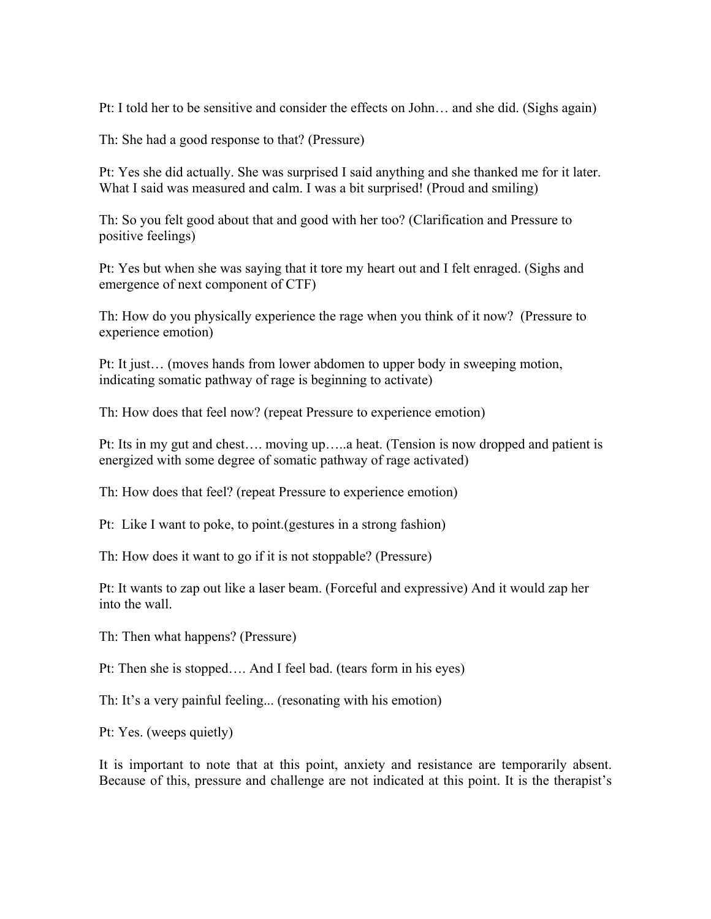Pt: I told her to be sensitive and consider the effects on John… and she did. (Sighs again)

Th: She had a good response to that? (Pressure)

Pt: Yes she did actually. She was surprised I said anything and she thanked me for it later. What I said was measured and calm. I was a bit surprised! (Proud and smiling)

Th: So you felt good about that and good with her too? (Clarification and Pressure to positive feelings)

Pt: Yes but when she was saying that it tore my heart out and I felt enraged. (Sighs and emergence of next component of CTF)

Th: How do you physically experience the rage when you think of it now? (Pressure to experience emotion)

Pt: It just… (moves hands from lower abdomen to upper body in sweeping motion, indicating somatic pathway of rage is beginning to activate)

Th: How does that feel now? (repeat Pressure to experience emotion)

Pt: Its in my gut and chest…. moving up…..a heat. (Tension is now dropped and patient is energized with some degree of somatic pathway of rage activated)

Th: How does that feel? (repeat Pressure to experience emotion)

Pt: Like I want to poke, to point.(gestures in a strong fashion)

Th: How does it want to go if it is not stoppable? (Pressure)

Pt: It wants to zap out like a laser beam. (Forceful and expressive) And it would zap her into the wall.

Th: Then what happens? (Pressure)

Pt: Then she is stopped…. And I feel bad. (tears form in his eyes)

Th: It's a very painful feeling... (resonating with his emotion)

Pt: Yes. (weeps quietly)

It is important to note that at this point, anxiety and resistance are temporarily absent. Because of this, pressure and challenge are not indicated at this point. It is the therapist's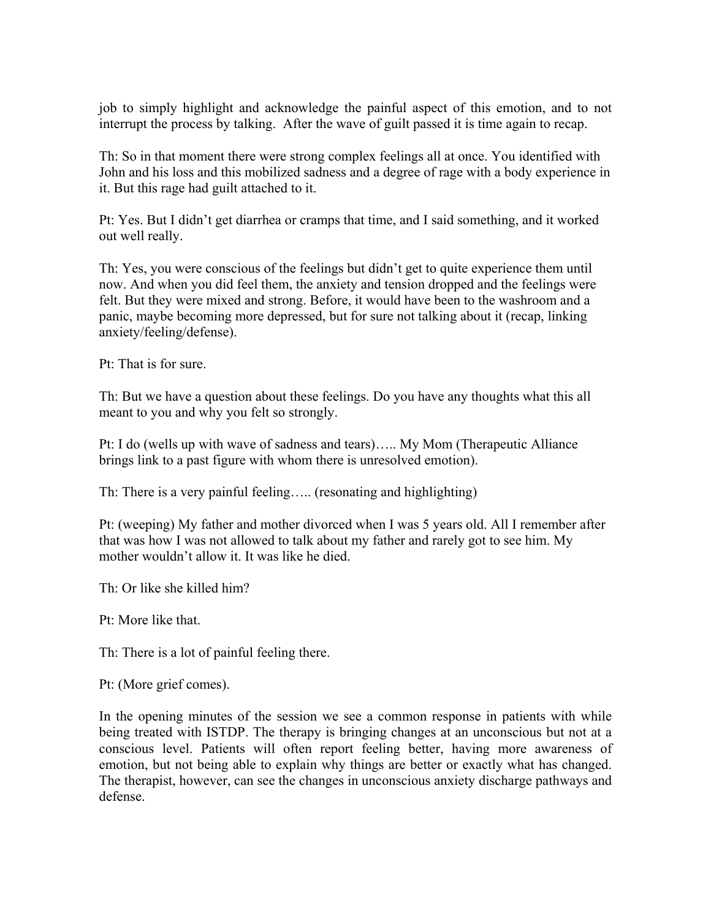job to simply highlight and acknowledge the painful aspect of this emotion, and to not interrupt the process by talking. After the wave of guilt passed it is time again to recap.

Th: So in that moment there were strong complex feelings all at once. You identified with John and his loss and this mobilized sadness and a degree of rage with a body experience in it. But this rage had guilt attached to it.

Pt: Yes. But I didn't get diarrhea or cramps that time, and I said something, and it worked out well really.

Th: Yes, you were conscious of the feelings but didn't get to quite experience them until now. And when you did feel them, the anxiety and tension dropped and the feelings were felt. But they were mixed and strong. Before, it would have been to the washroom and a panic, maybe becoming more depressed, but for sure not talking about it (recap, linking anxiety/feeling/defense).

Pt: That is for sure.

Th: But we have a question about these feelings. Do you have any thoughts what this all meant to you and why you felt so strongly.

Pt: I do (wells up with wave of sadness and tears)….. My Mom (Therapeutic Alliance brings link to a past figure with whom there is unresolved emotion).

Th: There is a very painful feeling….. (resonating and highlighting)

Pt: (weeping) My father and mother divorced when I was 5 years old. All I remember after that was how I was not allowed to talk about my father and rarely got to see him. My mother wouldn't allow it. It was like he died.

Th: Or like she killed him?

Pt: More like that.

Th: There is a lot of painful feeling there.

Pt: (More grief comes).

In the opening minutes of the session we see a common response in patients with while being treated with ISTDP. The therapy is bringing changes at an unconscious but not at a conscious level. Patients will often report feeling better, having more awareness of emotion, but not being able to explain why things are better or exactly what has changed. The therapist, however, can see the changes in unconscious anxiety discharge pathways and defense.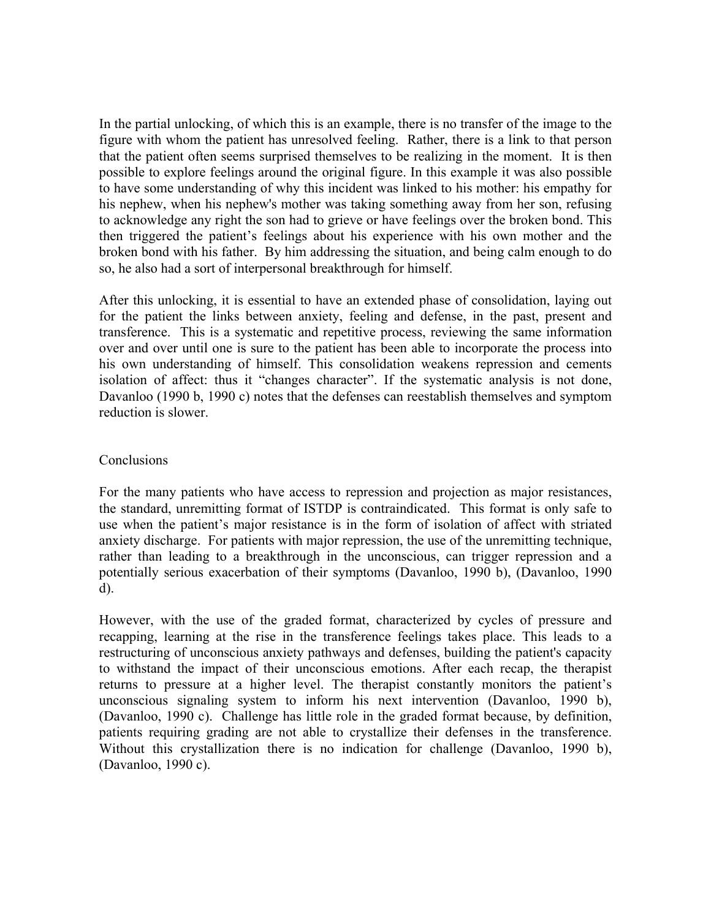In the partial unlocking, of which this is an example, there is no transfer of the image to the figure with whom the patient has unresolved feeling. Rather, there is a link to that person that the patient often seems surprised themselves to be realizing in the moment. It is then possible to explore feelings around the original figure. In this example it was also possible to have some understanding of why this incident was linked to his mother: his empathy for his nephew, when his nephew's mother was taking something away from her son, refusing to acknowledge any right the son had to grieve or have feelings over the broken bond. This then triggered the patient's feelings about his experience with his own mother and the broken bond with his father. By him addressing the situation, and being calm enough to do so, he also had a sort of interpersonal breakthrough for himself.

After this unlocking, it is essential to have an extended phase of consolidation, laying out for the patient the links between anxiety, feeling and defense, in the past, present and transference. This is a systematic and repetitive process, reviewing the same information over and over until one is sure to the patient has been able to incorporate the process into his own understanding of himself. This consolidation weakens repression and cements isolation of affect: thus it "changes character". If the systematic analysis is not done, Davanloo (1990 b, 1990 c) notes that the defenses can reestablish themselves and symptom reduction is slower.

#### **Conclusions**

For the many patients who have access to repression and projection as major resistances, the standard, unremitting format of ISTDP is contraindicated. This format is only safe to use when the patient's major resistance is in the form of isolation of affect with striated anxiety discharge. For patients with major repression, the use of the unremitting technique, rather than leading to a breakthrough in the unconscious, can trigger repression and a potentially serious exacerbation of their symptoms (Davanloo, 1990 b), (Davanloo, 1990 d).

However, with the use of the graded format, characterized by cycles of pressure and recapping, learning at the rise in the transference feelings takes place. This leads to a restructuring of unconscious anxiety pathways and defenses, building the patient's capacity to withstand the impact of their unconscious emotions. After each recap, the therapist returns to pressure at a higher level. The therapist constantly monitors the patient's unconscious signaling system to inform his next intervention (Davanloo, 1990 b), (Davanloo, 1990 c). Challenge has little role in the graded format because, by definition, patients requiring grading are not able to crystallize their defenses in the transference. Without this crystallization there is no indication for challenge (Davanloo, 1990 b), (Davanloo, 1990 c).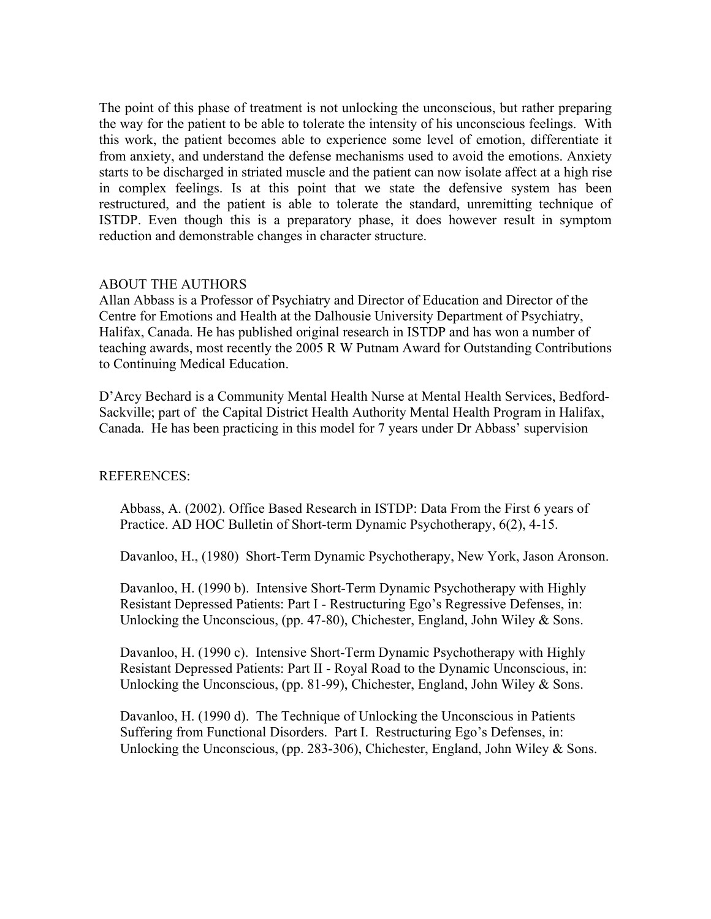The point of this phase of treatment is not unlocking the unconscious, but rather preparing the way for the patient to be able to tolerate the intensity of his unconscious feelings. With this work, the patient becomes able to experience some level of emotion, differentiate it from anxiety, and understand the defense mechanisms used to avoid the emotions. Anxiety starts to be discharged in striated muscle and the patient can now isolate affect at a high rise in complex feelings. Is at this point that we state the defensive system has been restructured, and the patient is able to tolerate the standard, unremitting technique of ISTDP. Even though this is a preparatory phase, it does however result in symptom reduction and demonstrable changes in character structure.

#### ABOUT THE AUTHORS

Allan Abbass is a Professor of Psychiatry and Director of Education and Director of the Centre for Emotions and Health at the Dalhousie University Department of Psychiatry, Halifax, Canada. He has published original research in ISTDP and has won a number of teaching awards, most recently the 2005 R W Putnam Award for Outstanding Contributions to Continuing Medical Education.

D'Arcy Bechard is a Community Mental Health Nurse at Mental Health Services, Bedford-Sackville; part of the Capital District Health Authority Mental Health Program in Halifax, Canada. He has been practicing in this model for 7 years under Dr Abbass' supervision

#### REFERENCES:

Abbass, A. (2002). Office Based Research in ISTDP: Data From the First 6 years of Practice. AD HOC Bulletin of Short-term Dynamic Psychotherapy, 6(2), 4-15.

Davanloo, H., (1980) Short-Term Dynamic Psychotherapy, New York, Jason Aronson.

Davanloo, H. (1990 b). Intensive Short-Term Dynamic Psychotherapy with Highly Resistant Depressed Patients: Part I - Restructuring Ego's Regressive Defenses, in: Unlocking the Unconscious, (pp. 47-80), Chichester, England, John Wiley & Sons.

Davanloo, H. (1990 c). Intensive Short-Term Dynamic Psychotherapy with Highly Resistant Depressed Patients: Part II - Royal Road to the Dynamic Unconscious, in: Unlocking the Unconscious, (pp. 81-99), Chichester, England, John Wiley & Sons.

Davanloo, H. (1990 d). The Technique of Unlocking the Unconscious in Patients Suffering from Functional Disorders. Part I. Restructuring Ego's Defenses, in: Unlocking the Unconscious, (pp. 283-306), Chichester, England, John Wiley & Sons.